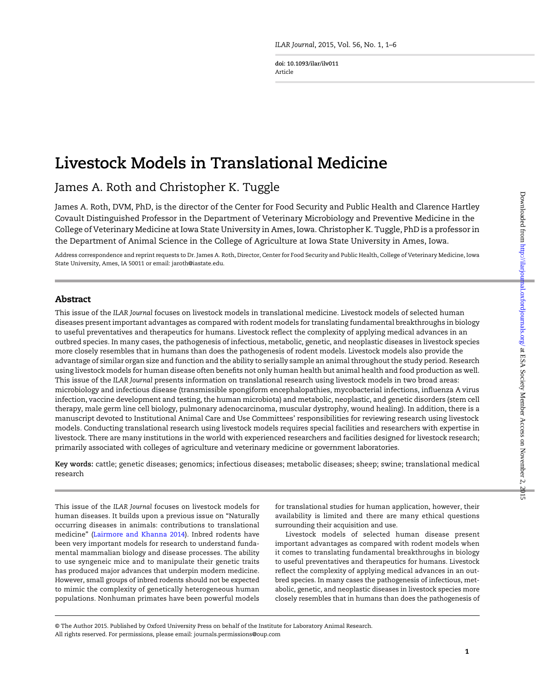doi: 10.1093/ilar/ilv011 Article

# Livestock Models in Translational Medicine

James A. Roth and Christopher K. Tuggle

James A. Roth, DVM, PhD, is the director of the Center for Food Security and Public Health and Clarence Hartley Covault Distinguished Professor in the Department of Veterinary Microbiology and Preventive Medicine in the College of Veterinary Medicine at Iowa State University in Ames, Iowa. Christopher K. Tuggle, PhD is a professor in the Department of Animal Science in the College of Agriculture at Iowa State University in Ames, Iowa.

Address correspondence and reprint requests to Dr. James A. Roth, Director, Center for Food Security and Public Health, College of Veterinary Medicine, Iowa State University, Ames, IA 50011 or email: jaroth@iastate.edu.

## Abstract

This issue of the ILAR Journal focuses on livestock models in translational medicine. Livestock models of selected human diseases present important advantages as compared with rodent models for translating fundamental breakthroughs in biology to useful preventatives and therapeutics for humans. Livestock reflect the complexity of applying medical advances in an outbred species. In many cases, the pathogenesis of infectious, metabolic, genetic, and neoplastic diseases in livestock species more closely resembles that in humans than does the pathogenesis of rodent models. Livestock models also provide the advantage of similar organ size and function and the ability to serially sample an animal throughout the study period. Research using livestock models for human disease often benefits not only human health but animal health and food production as well. This issue of the ILAR Journal presents information on translational research using livestock models in two broad areas: microbiology and infectious disease (transmissible spongiform encephalopathies, mycobacterial infections, influenza A virus infection, vaccine development and testing, the human microbiota) and metabolic, neoplastic, and genetic disorders (stem cell therapy, male germ line cell biology, pulmonary adenocarcinoma, muscular dystrophy, wound healing). In addition, there is a manuscript devoted to Institutional Animal Care and Use Committees' responsibilities for reviewing research using livestock models. Conducting translational research using livestock models requires special facilities and researchers with expertise in livestock. There are many institutions in the world with experienced researchers and facilities designed for livestock research; primarily associated with colleges of agriculture and veterinary medicine or government laboratories.

Key words: cattle; genetic diseases; genomics; infectious diseases; metabolic diseases; sheep; swine; translational medical research

This issue of the ILAR Journal focuses on livestock models for human diseases. It builds upon a previous issue on "Naturally occurring diseases in animals: contributions to translational medicine" ([Lairmore and Khanna 2014\)](#page-5-0). Inbred rodents have been very important models for research to understand fundamental mammalian biology and disease processes. The ability to use syngeneic mice and to manipulate their genetic traits has produced major advances that underpin modern medicine. However, small groups of inbred rodents should not be expected to mimic the complexity of genetically heterogeneous human populations. Nonhuman primates have been powerful models for translational studies for human application, however, their availability is limited and there are many ethical questions surrounding their acquisition and use.

Livestock models of selected human disease present important advantages as compared with rodent models when it comes to translating fundamental breakthroughs in biology to useful preventatives and therapeutics for humans. Livestock reflect the complexity of applying medical advances in an outbred species. In many cases the pathogenesis of infectious, metabolic, genetic, and neoplastic diseases in livestock species more closely resembles that in humans than does the pathogenesis of

© The Author 2015. Published by Oxford University Press on behalf of the Institute for Laboratory Animal Research. All rights reserved. For permissions, please email: journals.permissions@oup.com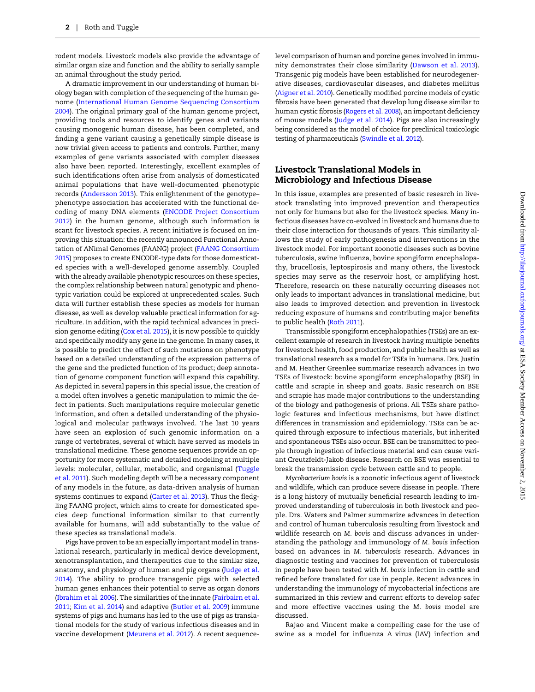rodent models. Livestock models also provide the advantage of similar organ size and function and the ability to serially sample an animal throughout the study period.

A dramatic improvement in our understanding of human biology began with completion of the sequencing of the human genome ([International Human Genome Sequencing Consortium](#page-4-0) [2004\)](#page-4-0). The original primary goal of the human genome project, providing tools and resources to identify genes and variants causing monogenic human disease, has been completed, and finding a gene variant causing a genetically simple disease is now trivial given access to patients and controls. Further, many examples of gene variants associated with complex diseases also have been reported. Interestingly, excellent examples of such identifications often arise from analysis of domesticated animal populations that have well-documented phenotypic records ([Andersson 2013](#page-4-0)). This enlightenment of the genotype– phenotype association has accelerated with the functional decoding of many DNA elements ([ENCODE Project Consortium](#page-4-0) [2012](#page-4-0)) in the human genome, although such information is scant for livestock species. A recent initiative is focused on improving this situation: the recently announced Functional Annotation of ANimal Genomes (FAANG) project [\(FAANG Consortium](#page-4-0) [2015\)](#page-4-0) proposes to create ENCODE-type data for those domesticated species with a well-developed genome assembly. Coupled with the already available phenotypic resources on these species, the complex relationship between natural genotypic and phenotypic variation could be explored at unprecedented scales. Such data will further establish these species as models for human disease, as well as develop valuable practical information for agriculture. In addition, with the rapid technical advances in precision genome editing ([Cox et al. 2015\)](#page-4-0), it is now possible to quickly and specifically modify any gene in the genome. In many cases, it is possible to predict the effect of such mutations on phenotype based on a detailed understanding of the expression patterns of the gene and the predicted function of its product; deep annotation of genome component function will expand this capability. As depicted in several papers in this special issue, the creation of a model often involves a genetic manipulation to mimic the defect in patients. Such manipulations require molecular genetic information, and often a detailed understanding of the physiological and molecular pathways involved. The last 10 years have seen an explosion of such genomic information on a range of vertebrates, several of which have served as models in translational medicine. These genome sequences provide an opportunity for more systematic and detailed modeling at multiple levels: molecular, cellular, metabolic, and organismal ([Tuggle](#page-5-0) [et al. 2011\)](#page-5-0). Such modeling depth will be a necessary component of any models in the future, as data-driven analysis of human systems continues to expand ([Carter et al. 2013\)](#page-4-0). Thus the fledgling FAANG project, which aims to create for domesticated species deep functional information similar to that currently available for humans, will add substantially to the value of these species as translational models.

Pigs have proven to be an especially important model in translational research, particularly in medical device development, xenotransplantation, and therapeutics due to the similar size, anatomy, and physiology of human and pig organs [\(Judge et al.](#page-4-0) [2014](#page-4-0)). The ability to produce transgenic pigs with selected human genes enhances their potential to serve as organ donors [\(Ibrahim et al. 2006](#page-4-0)). The similarities of the innate [\(Fairbairn et al.](#page-4-0) [2011;](#page-4-0) [Kim et al. 2014\)](#page-4-0) and adaptive ([Butler et al. 2009](#page-4-0)) immune systems of pigs and humans has led to the use of pigs as translational models for the study of various infectious diseases and in vaccine development [\(Meurens et al. 2012\)](#page-5-0). A recent sequencelevel comparison of human and porcine genes involved in immunity demonstrates their close similarity ([Dawson et al. 2013](#page-4-0)). Transgenic pig models have been established for neurodegenerative diseases, cardiovascular diseases, and diabetes mellitus [\(Aigner et al. 2010\)](#page-4-0). Genetically modified porcine models of cystic fibrosis have been generated that develop lung disease similar to human cystic fibrosis [\(Rogers et al. 2008\)](#page-5-0), an important deficiency of mouse models [\(Judge et al. 2014\)](#page-4-0). Pigs are also increasingly being considered as the model of choice for preclinical toxicologic testing of pharmaceuticals [\(Swindle et al. 2012\)](#page-5-0).

## Livestock Translational Models in Microbiology and Infectious Disease

In this issue, examples are presented of basic research in livestock translating into improved prevention and therapeutics not only for humans but also for the livestock species. Many infectious diseases have co-evolved in livestock and humans due to their close interaction for thousands of years. This similarity allows the study of early pathogenesis and interventions in the livestock model. For important zoonotic diseases such as bovine tuberculosis, swine influenza, bovine spongiform encephalopathy, brucellosis, leptospirosis and many others, the livestock species may serve as the reservoir host, or amplifying host. Therefore, research on these naturally occurring diseases not only leads to important advances in translational medicine, but also leads to improved detection and prevention in livestock reducing exposure of humans and contributing major benefits to public health [\(Roth 2011\)](#page-5-0).

Transmissible spongiform encephalopathies (TSEs) are an excellent example of research in livestock having multiple benefits for livestock health, food production, and public health as well as translational research as a model for TSEs in humans. Drs. Justin and M. Heather Greenlee summarize research advances in two TSEs of livestock: bovine spongiform encephalopathy (BSE) in cattle and scrapie in sheep and goats. Basic research on BSE and scrapie has made major contributions to the understanding of the biology and pathogenesis of prions. All TSEs share pathologic features and infectious mechanisms, but have distinct differences in transmission and epidemiology. TSEs can be acquired through exposure to infectious materials, but inherited and spontaneous TSEs also occur. BSE can be transmitted to people through ingestion of infectious material and can cause variant Creutzfeldt-Jakob disease. Research on BSE was essential to break the transmission cycle between cattle and to people.

Mycobacterium bovis is a zoonotic infectious agent of livestock and wildlife, which can produce severe disease in people. There is a long history of mutually beneficial research leading to improved understanding of tuberculosis in both livestock and people. Drs. Waters and Palmer summarize advances in detection and control of human tuberculosis resulting from livestock and wildlife research on M. bovis and discuss advances in understanding the pathology and immunology of M. bovis infection based on advances in M. tuberculosis research. Advances in diagnostic testing and vaccines for prevention of tuberculosis in people have been tested with M. bovis infection in cattle and refined before translated for use in people. Recent advances in understanding the immunology of mycobacterial infections are summarized in this review and current efforts to develop safer and more effective vaccines using the M. bovis model are discussed.

Rajao and Vincent make a compelling case for the use of swine as a model for influenza A virus (IAV) infection and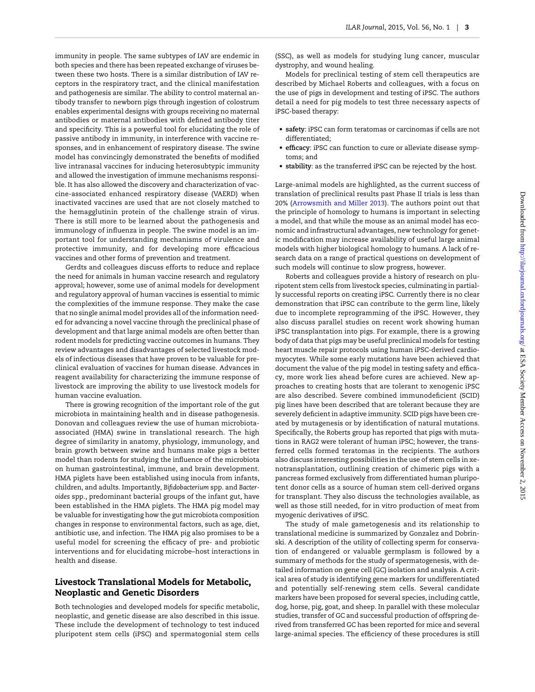immunity in people. The same subtypes of IAV are endemic in both species and there has been repeated exchange of viruses between these two hosts. There is a similar distribution of IAV receptors in the respiratory tract, and the clinical manifestation and pathogenesis are similar. The ability to control maternal antibody transfer to newborn pigs through ingestion of colostrum enables experimental designs with groups receiving no maternal antibodies or maternal antibodies with defined antibody titer and specificity. This is a powerful tool for elucidating the role of passive antibody in immunity, in interference with vaccine responses, and in enhancement of respiratory disease. The swine model has convincingly demonstrated the benefits of modified live intranasal vaccines for inducing heterosubtypic immunity and allowed the investigation of immune mechanisms responsible. It has also allowed the discovery and characterization of vaccine-associated enhanced respiratory disease (VAERD) when inactivated vaccines are used that are not closely matched to the hemagglutinin protein of the challenge strain of virus. There is still more to be learned about the pathogenesis and immunology of influenza in people. The swine model is an important tool for understanding mechanisms of virulence and protective immunity, and for developing more efficacious vaccines and other forms of prevention and treatment.

Gerdts and colleagues discuss efforts to reduce and replace the need for animals in human vaccine research and regulatory approval; however, some use of animal models for development and regulatory approval of human vaccines is essential to mimic the complexities of the immune response. They make the case that no single animal model provides all of the information needed for advancing a novel vaccine through the preclinical phase of development and that large animal models are often better than rodent models for predicting vaccine outcomes in humans. They review advantages and disadvantages of selected livestock models of infectious diseases that have proven to be valuable for preclinical evaluation of vaccines for human disease. Advances in reagent availability for characterizing the immune response of livestock are improving the ability to use livestock models for human vaccine evaluation.

There is growing recognition of the important role of the gut microbiota in maintaining health and in disease pathogenesis. Donovan and colleagues review the use of human microbiotaassociated (HMA) swine in translational research. The high degree of similarity in anatomy, physiology, immunology, and brain growth between swine and humans make pigs a better model than rodents for studying the influence of the microbiota on human gastrointestinal, immune, and brain development. HMA piglets have been established using inocula from infants, children, and adults. Importantly, Bifidobacterium spp. and Bacteroides spp., predominant bacterial groups of the infant gut, have been established in the HMA piglets. The HMA pig model may be valuable for investigating how the gut microbiota composition changes in response to environmental factors, such as age, diet, antibiotic use, and infection. The HMA pig also promises to be a useful model for screening the efficacy of pre- and probiotic interventions and for elucidating microbe–host interactions in health and disease.

# Livestock Translational Models for Metabolic, Neoplastic and Genetic Disorders

Both technologies and developed models for specific metabolic, neoplastic, and genetic disease are also described in this issue. These include the development of technology to test induced pluripotent stem cells (iPSC) and spermatogonial stem cells (SSC), as well as models for studying lung cancer, muscular dystrophy, and wound healing.

Models for preclinical testing of stem cell therapeutics are described by Michael Roberts and colleagues, with a focus on the use of pigs in development and testing of iPSC. The authors detail a need for pig models to test three necessary aspects of iPSC-based therapy:

- safety: iPSC can form teratomas or carcinomas if cells are not differentiated;
- efficacy: iPSC can function to cure or alleviate disease symptoms; and
- stability: as the transferred iPSC can be rejected by the host.

Large-animal models are highlighted, as the current success of translation of preclinical results past Phase II trials is less than 20% ([Arrowsmith and Miller](#page-4-0) 2013). The authors point out that the principle of homology to humans is important in selecting a model, and that while the mouse as an animal model has economic and infrastructural advantages, new technology for genetic modification may increase availability of useful large animal models with higher biological homology to humans. A lack of research data on a range of practical questions on development of such models will continue to slow progress, however.

Roberts and colleagues provide a history of research on pluripotent stem cells from livestock species, culminating in partially successful reports on creating iPSC. Currently there is no clear demonstration that iPSC can contribute to the germ line, likely due to incomplete reprogramming of the iPSC. However, they also discuss parallel studies on recent work showing human iPSC transplantation into pigs. For example, there is a growing body of data that pigs may be useful preclinical models for testing heart muscle repair protocols using human iPSC-derived cardiomyocytes. While some early mutations have been achieved that document the value of the pig model in testing safety and efficacy, more work lies ahead before cures are achieved. New approaches to creating hosts that are tolerant to xenogenic iPSC are also described. Severe combined immunodeficient (SCID) pig lines have been described that are tolerant because they are severely deficient in adaptive immunity. SCID pigs have been created by mutagenesis or by identification of natural mutations. Specifically, the Roberts group has reported that pigs with mutations in RAG2 were tolerant of human iPSC; however, the transferred cells formed teratomas in the recipients. The authors also discuss interesting possibilities in the use of stem cells in xenotransplantation, outlining creation of chimeric pigs with a pancreas formed exclusively from differentiated human pluripotent donor cells as a source of human stem cell-derived organs for transplant. They also discuss the technologies available, as well as those still needed, for in vitro production of meat from myogenic derivatives of iPSC.

The study of male gametogenesis and its relationship to translational medicine is summarized by Gonzalez and Dobrinski. A description of the utility of collecting sperm for conservation of endangered or valuable germplasm is followed by a summary of methods for the study of spermatogenesis, with detailed information on gene cell (GC) isolation and analysis. A critical area of study is identifying gene markers for undifferentiated and potentially self-renewing stem cells. Several candidate markers have been proposed for several species, including cattle, dog, horse, pig, goat, and sheep. In parallel with these molecular studies, transfer of GC and successful production of offspring derived from transferred GC has been reported for mice and several large-animal species. The efficiency of these procedures is still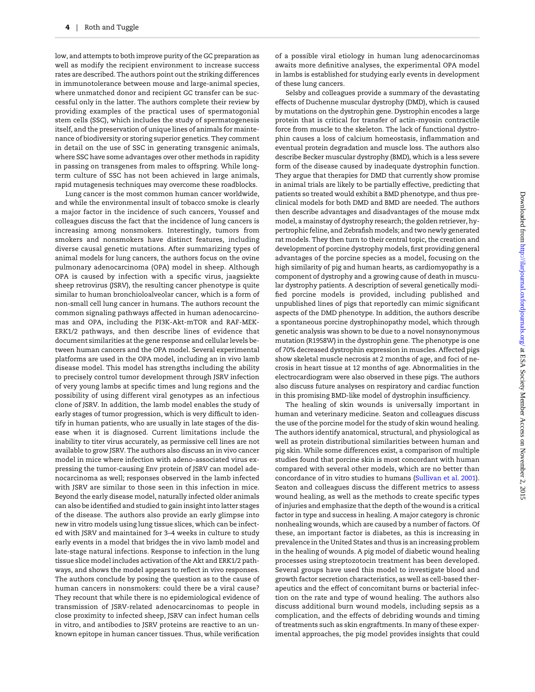low, and attempts to both improve purity of the GC preparation as well as modify the recipient environment to increase success rates are described. The authors point out the striking differences in immunotolerance between mouse and large-animal species, where unmatched donor and recipient GC transfer can be successful only in the latter. The authors complete their review by providing examples of the practical uses of spermatogonial stem cells (SSC), which includes the study of spermatogenesis itself, and the preservation of unique lines of animals for maintenance of biodiversity or storing superior genetics. They comment in detail on the use of SSC in generating transgenic animals, where SSC have some advantages over other methods in rapidity in passing on transgenes from males to offspring. While longterm culture of SSC has not been achieved in large animals, rapid mutagenesis techniques may overcome these roadblocks.

Lung cancer is the most common human cancer worldwide, and while the environmental insult of tobacco smoke is clearly a major factor in the incidence of such cancers, Youssef and colleagues discuss the fact that the incidence of lung cancers is increasing among nonsmokers. Interestingly, tumors from smokers and nonsmokers have distinct features, including diverse causal genetic mutations. After summarizing types of animal models for lung cancers, the authors focus on the ovine pulmonary adenocarcinoma (OPA) model in sheep. Although OPA is caused by infection with a specific virus, jaagsiekte sheep retrovirus (JSRV), the resulting cancer phenotype is quite similar to human bronchioloalveolar cancer, which is a form of non-small cell lung cancer in humans. The authors recount the common signaling pathways affected in human adenocarcinomas and OPA, including the PI3K-Akt-mTOR and RAF-MEK-ERK1/2 pathways, and then describe lines of evidence that document similarities at the gene response and cellular levels between human cancers and the OPA model. Several experimental platforms are used in the OPA model, including an in vivo lamb disease model. This model has strengths including the ability to precisely control tumor development through JSRV infection of very young lambs at specific times and lung regions and the possibility of using different viral genotypes as an infectious clone of JSRV. In addition, the lamb model enables the study of early stages of tumor progression, which is very difficult to identify in human patients, who are usually in late stages of the disease when it is diagnosed. Current limitations include the inability to titer virus accurately, as permissive cell lines are not available to grow JSRV. The authors also discuss an in vivo cancer model in mice where infection with adeno-associated virus expressing the tumor-causing Env protein of JSRV can model adenocarcinoma as well; responses observed in the lamb infected with JSRV are similar to those seen in this infection in mice. Beyond the early disease model, naturally infected older animals can also be identified and studied to gain insight into latter stages of the disease. The authors also provide an early glimpse into new in vitro models using lung tissue slices, which can be infected with JSRV and maintained for 3–4 weeks in culture to study early events in a model that bridges the in vivo lamb model and late-stage natural infections. Response to infection in the lung tissue slice model includes activation of the Akt and ERK1/2 pathways, and shows the model appears to reflect in vivo responses. The authors conclude by posing the question as to the cause of human cancers in nonsmokers: could there be a viral cause? They recount that while there is no epidemiological evidence of transmission of JSRV-related adenocarcinomas to people in close proximity to infected sheep, JSRV can infect human cells in vitro, and antibodies to JSRV proteins are reactive to an unknown epitope in human cancer tissues. Thus, while verification of a possible viral etiology in human lung adenocarcinomas awaits more definitive analyses, the experimental OPA model in lambs is established for studying early events in development of these lung cancers.

Selsby and colleagues provide a summary of the devastating effects of Duchenne muscular dystrophy (DMD), which is caused by mutations on the dystrophin gene. Dystrophin encodes a large protein that is critical for transfer of actin-myosin contractile force from muscle to the skeleton. The lack of functional dystrophin causes a loss of calcium homeostasis, inflammation and eventual protein degradation and muscle loss. The authors also describe Becker muscular dystrophy (BMD), which is a less severe form of the disease caused by inadequate dystrophin function. They argue that therapies for DMD that currently show promise in animal trials are likely to be partially effective, predicting that patients so treated would exhibit a BMD phenotype, and thus preclinical models for both DMD and BMD are needed. The authors then describe advantages and disadvantages of the mouse mdx model, a mainstay of dystrophy research; the golden retriever, hypertrophic feline, and Zebrafish models; and two newly generated rat models. They then turn to their central topic, the creation and development of porcine dystrophy models, first providing general advantages of the porcine species as a model, focusing on the high similarity of pig and human hearts, as cardiomyopathy is a component of dystrophy and a growing cause of death in muscular dystrophy patients. A description of several genetically modified porcine models is provided, including published and unpublished lines of pigs that reportedly can mimic significant aspects of the DMD phenotype. In addition, the authors describe a spontaneous porcine dystrophinopathy model, which through genetic analysis was shown to be due to a novel nonsynonymous mutation (R1958W) in the dystrophin gene. The phenotype is one of 70% decreased dystrophin expression in muscles. Affected pigs show skeletal muscle necrosis at 2 months of age, and foci of necrosis in heart tissue at 12 months of age. Abnormalities in the electrocardiogram were also observed in these pigs. The authors also discuss future analyses on respiratory and cardiac function in this promising BMD-like model of dystrophin insufficiency.

The healing of skin wounds is universally important in human and veterinary medicine. Seaton and colleagues discuss the use of the porcine model for the study of skin wound healing. The authors identify anatomical, structural, and physiological as well as protein distributional similarities between human and pig skin. While some differences exist, a comparison of multiple studies found that porcine skin is most concordant with human compared with several other models, which are no better than concordance of in vitro studies to humans [\(Sullivan et al. 2001\)](#page-5-0). Seaton and colleagues discuss the different metrics to assess wound healing, as well as the methods to create specific types of injuries and emphasize that the depth of the wound is a critical factor in type and success in healing. A major category is chronic nonhealing wounds, which are caused by a number of factors. Of these, an important factor is diabetes, as this is increasing in prevalence in the United States and thus is an increasing problem in the healing of wounds. A pig model of diabetic wound healing processes using streptozotocin treatment has been developed. Several groups have used this model to investigate blood and growth factor secretion characteristics, as well as cell-based therapeutics and the effect of concomitant burns or bacterial infection on the rate and type of wound healing. The authors also discuss additional burn wound models, including sepsis as a complication, and the effects of debriding wounds and timing of treatments such as skin engraftments. In many of these experimental approaches, the pig model provides insights that could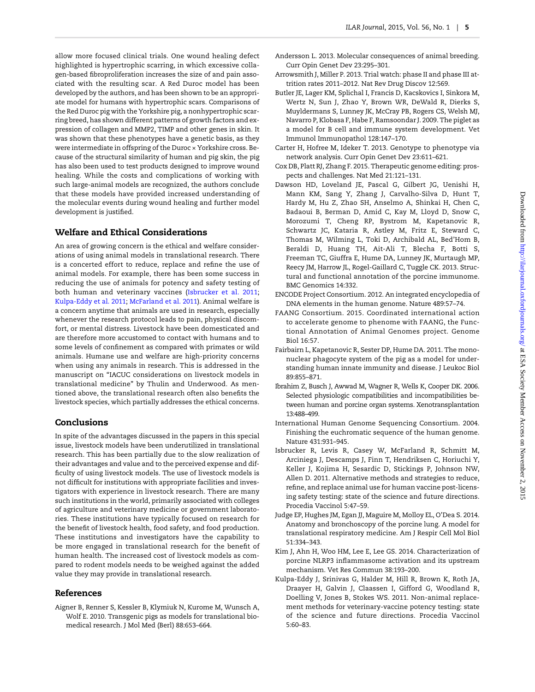<span id="page-4-0"></span>allow more focused clinical trials. One wound healing defect highlighted is hypertrophic scarring, in which excessive collagen-based fibroproliferation increases the size of and pain associated with the resulting scar. A Red Duroc model has been developed by the authors, and has been shown to be an appropriate model for humans with hypertrophic scars. Comparisons of the Red Duroc pig with the Yorkshire pig, a nonhypertrophic scarring breed, has shown different patterns of growth factors and expression of collagen and MMP2, TIMP and other genes in skin. It was shown that these phenotypes have a genetic basis, as they were intermediate in offspring of the Duroc × Yorkshire cross. Because of the structural similarity of human and pig skin, the pig has also been used to test products designed to improve wound healing. While the costs and complications of working with such large-animal models are recognized, the authors conclude that these models have provided increased understanding of the molecular events during wound healing and further model development is justified.

#### Welfare and Ethical Considerations

An area of growing concern is the ethical and welfare considerations of using animal models in translational research. There is a concerted effort to reduce, replace and refine the use of animal models. For example, there has been some success in reducing the use of animals for potency and safety testing of both human and veterinary vaccines (Isbrucker et al. 2011; Kulpa-Eddy et al. 2011; [McFarland et al. 2011\)](#page-5-0). Animal welfare is a concern anytime that animals are used in research, especially whenever the research protocol leads to pain, physical discomfort, or mental distress. Livestock have been domesticated and are therefore more accustomed to contact with humans and to some levels of confinement as compared with primates or wild animals. Humane use and welfare are high-priority concerns when using any animals in research. This is addressed in the manuscript on "IACUC considerations on livestock models in translational medicine" by Thulin and Underwood. As mentioned above, the translational research often also benefits the livestock species, which partially addresses the ethical concerns.

## Conclusions

In spite of the advantages discussed in the papers in this special issue, livestock models have been underutilized in translational research. This has been partially due to the slow realization of their advantages and value and to the perceived expense and difficulty of using livestock models. The use of livestock models is not difficult for institutions with appropriate facilities and investigators with experience in livestock research. There are many such institutions in the world, primarily associated with colleges of agriculture and veterinary medicine or government laboratories. These institutions have typically focused on research for the benefit of livestock health, food safety, and food production. These institutions and investigators have the capability to be more engaged in translational research for the benefit of human health. The increased cost of livestock models as compared to rodent models needs to be weighed against the added value they may provide in translational research.

#### References

Aigner B, Renner S, Kessler B, Klymiuk N, Kurome M, Wunsch A, Wolf E. 2010. Transgenic pigs as models for translational biomedical research. J Mol Med (Berl) 88:653–664.

- Andersson L. 2013. Molecular consequences of animal breeding. Curr Opin Genet Dev 23:295–301.
- Arrowsmith J, Miller P. 2013. Trial watch: phase II and phase III attrition rates 2011–2012. Nat Rev Drug Discov 12:569.
- Butler JE, Lager KM, Splichal I, Francis D, Kacskovics I, Sinkora M, Wertz N, Sun J, Zhao Y, Brown WR, DeWald R, Dierks S, Muyldermans S, Lunney JK, McCray PB, Rogers CS, Welsh MJ, Navarro P, Klobasa F, Habe F, Ramsoondar J. 2009. The piglet as a model for B cell and immune system development. Vet Immunol Immunopathol 128:147–170.
- Carter H, Hofree M, Ideker T. 2013. Genotype to phenotype via network analysis. Curr Opin Genet Dev 23:611–621.
- Cox DB, Platt RJ, Zhang F. 2015. Therapeutic genome editing: prospects and challenges. Nat Med 21:121–131.
- Dawson HD, Loveland JE, Pascal G, Gilbert JG, Uenishi H, Mann KM, Sang Y, Zhang J, Carvalho-Silva D, Hunt T, Hardy M, Hu Z, Zhao SH, Anselmo A, Shinkai H, Chen C, Badaoui B, Berman D, Amid C, Kay M, Lloyd D, Snow C, Morozumi T, Cheng RP, Bystrom M, Kapetanovic R, Schwartz JC, Kataria R, Astley M, Fritz E, Steward C, Thomas M, Wilming L, Toki D, Archibald AL, Bed'Hom B, Beraldi D, Huang TH, Ait-Ali T, Blecha F, Botti S, Freeman TC, Giuffra E, Hume DA, Lunney JK, Murtaugh MP, Reecy JM, Harrow JL, Rogel-Gaillard C, Tuggle CK. 2013. Structural and functional annotation of the porcine immunome. BMC Genomics 14:332.
- ENCODE Project Consortium. 2012. An integrated encyclopedia of DNA elements in the human genome. Nature 489:57–74.
- FAANG Consortium. 2015. Coordinated international action to accelerate genome to phenome with FAANG, the Functional Annotation of Animal Genomes project. Genome Biol 16:57.
- Fairbairn L, Kapetanovic R, Sester DP, Hume DA. 2011. The mononuclear phagocyte system of the pig as a model for understanding human innate immunity and disease. J Leukoc Biol 89:855–871.
- Ibrahim Z, Busch J, Awwad M, Wagner R, Wells K, Cooper DK. 2006. Selected physiologic compatibilities and incompatibilities between human and porcine organ systems. Xenotransplantation 13:488–499.
- International Human Genome Sequencing Consortium. 2004. Finishing the euchromatic sequence of the human genome. Nature 431:931–945.
- Isbrucker R, Levis R, Casey W, McFarland R, Schmitt M, Arciniega J, Descamps J, Finn T, Hendriksen C, Horiuchi Y, Keller J, Kojima H, Sesardic D, Stickings P, Johnson NW, Allen D. 2011. Alternative methods and strategies to reduce, refine, and replace animal use for human vaccine post-licensing safety testing: state of the science and future directions. Procedia Vaccinol 5:47–59.
- Judge EP, Hughes JM, Egan JJ, Maguire M, Molloy EL, O'Dea S. 2014. Anatomy and bronchoscopy of the porcine lung. A model for translational respiratory medicine. Am J Respir Cell Mol Biol 51:334–343.
- Kim J, Ahn H, Woo HM, Lee E, Lee GS. 2014. Characterization of porcine NLRP3 inflammasome activation and its upstream mechanism. Vet Res Commun 38:193–200.
- Kulpa-Eddy J, Srinivas G, Halder M, Hill R, Brown K, Roth JA, Draayer H, Galvin J, Claassen I, Gifford G, Woodland R, Doelling V, Jones B, Stokes WS. 2011. Non-animal replacement methods for veterinary-vaccine potency testing: state of the science and future directions. Procedia Vaccinol 5:60–83.